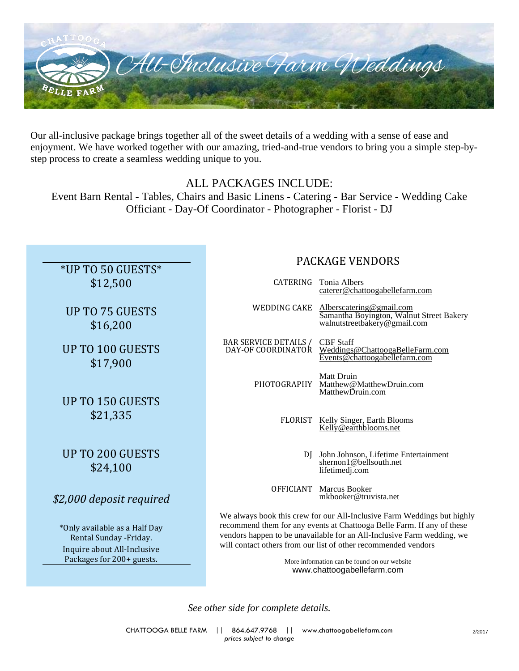

Our all-inclusive package brings together all of the sweet details of a wedding with a sense of ease and enjoyment. We have worked together with our amazing, tried-and-true vendors to bring you a simple step-bystep process to create a seamless wedding unique to you.

# ALL PACKAGES INCLUDE:

Event Barn Rental - Tables, Chairs and Basic Linens - Catering - Bar Service - Wedding Cake Officiant - Day-Of Coordinator - Photographer - Florist - DJ

# \*UP TO 50 GUESTS\* \$12,500

UP TO 75 GUESTS \$16,200

UP TO 100 GUESTS \$17,900

UP TO 150 GUESTS \$21,335

# UP TO 200 GUESTS \$24,100

# *\$2,000 deposit required*

\*Only available as a Half Day Rental Sunday -Friday. Inquire about All-Inclusive Packages for 200+ guests.

# PACKAGE VENDORS

|                                 | CATERING Tonia Albers<br>caterer@chattoogabellefarm.com                                              |
|---------------------------------|------------------------------------------------------------------------------------------------------|
| WEDDING CAKE                    | Alberscatering@gmail.com<br>Samantha Boyington, Walnut Street Bakery<br>walnutstreetbakery@gmail.com |
| BAR SERVICE DETAILS / CBF Staff | DAY-OF COORDINATOR Weddings@ChattoogaBelleFarm.com<br>Events@chattoogabellefarm.com                  |
|                                 | <b>Matt Druin</b><br>PHOTOGRAPHY Matthew@MatthewDruin.com<br>MatthewDruin.com                        |
|                                 | FLORIST Kelly Singer, Earth Blooms<br>Kelly@earthblooms.net                                          |
|                                 | DI John Johnson, Lifetime Entertainment<br>shernon 1 @ bellsouth.net<br>lifetimedj.com               |
|                                 | <b>OFFICIANT</b> Marcus Booker<br>mkbooker@truvista.net                                              |

We always book this crew for our All-Inclusive Farm Weddings but highly recommend them for any events at Chattooga Belle Farm. If any of these vendors happen to be unavailable for an All-Inclusive Farm wedding, we will contact others from our list of other recommended vendors

> More information can be found on our website www.chattoogabellefarm.com

*See other side for complete details.*